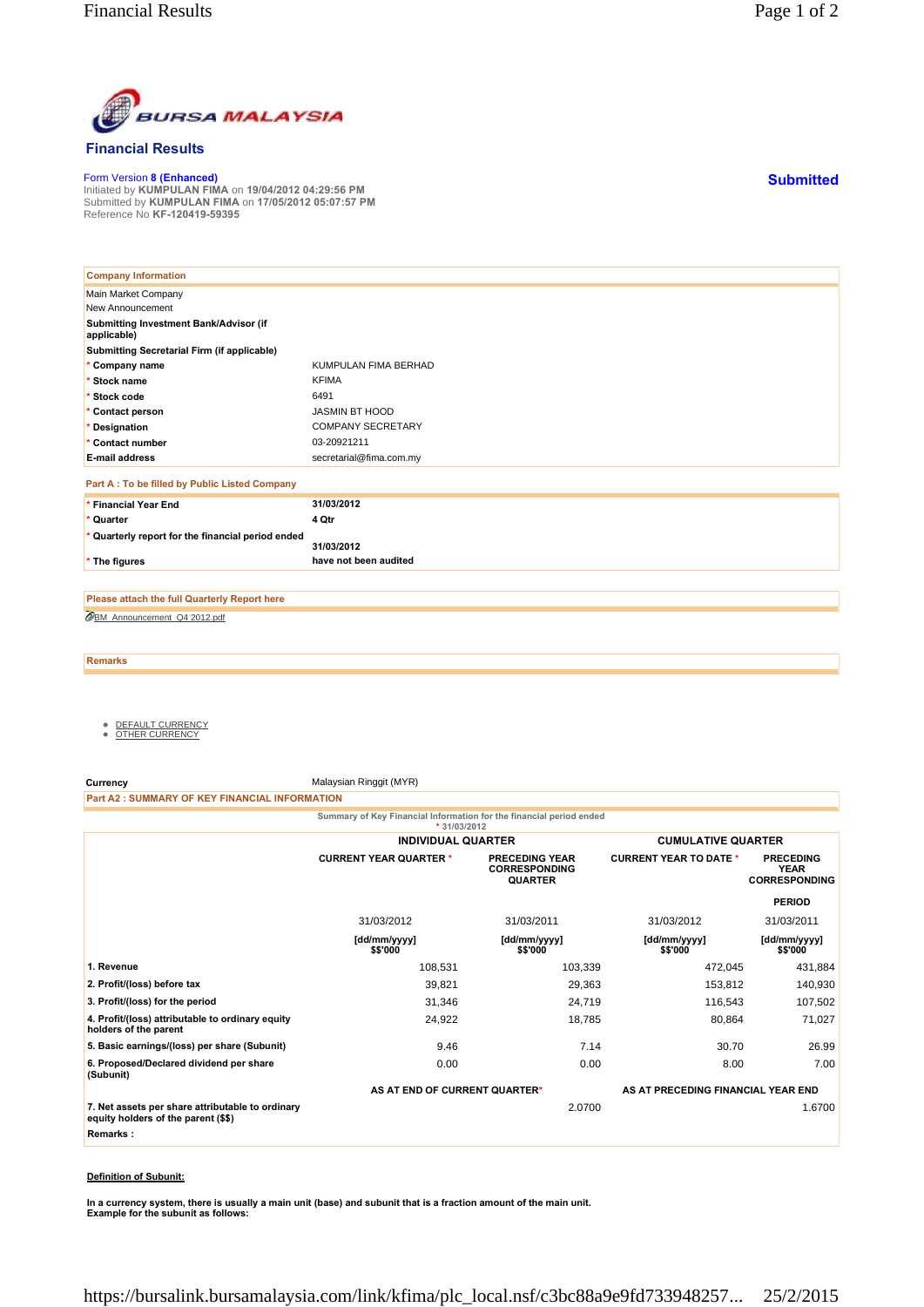

## **Financial Results**

Form Version **8 (Enhanced)** Initiated by **KUMPULAN FIMA** on **19/04/2012 04:29:56 PM** Submitted by **KUMPULAN FIMA** on **17/05/2012 05:07:57 PM** Reference No **KF-120419-59395**

| <b>Company Information</b>                            |                          |
|-------------------------------------------------------|--------------------------|
| Main Market Company                                   |                          |
| New Announcement                                      |                          |
| Submitting Investment Bank/Advisor (if<br>applicable) |                          |
| Submitting Secretarial Firm (if applicable)           |                          |
| * Company name                                        | KUMPULAN FIMA BERHAD     |
| * Stock name                                          | <b>KFIMA</b>             |
| * Stock code                                          | 6491                     |
| * Contact person                                      | <b>JASMIN BT HOOD</b>    |
| * Designation                                         | <b>COMPANY SECRETARY</b> |
| * Contact number                                      | 03-20921211              |
| <b>E-mail address</b>                                 | secretarial@fima.com.my  |
| Part A : To be filled by Public Listed Company        |                          |
| * Financial Year End                                  | 31/03/2012               |
| * Quarter                                             | 4 Qtr                    |
| * Quarterly report for the financial period ended     | 31/03/2012               |
| * The figures                                         | have not been audited    |

BM\_Announcement\_Q4 2012.pdf **Please attach the full Quarterly Report here**

**Remarks**

- <u>DEFAULT CURRENCY</u><br>● <u>OTHER CURRENCY</u>
- 

**Currency** Malaysian Ringgit (MYR)

**Part A2 : SUMMARY OF KEY FINANCIAL INFORMATION**

**Summary of Key Financial Information for the financial period ended**

|                                                                                         | * $31/03/2012$                |                                                                 |                                    |                                                         |
|-----------------------------------------------------------------------------------------|-------------------------------|-----------------------------------------------------------------|------------------------------------|---------------------------------------------------------|
|                                                                                         | <b>INDIVIDUAL QUARTER</b>     |                                                                 | <b>CUMULATIVE QUARTER</b>          |                                                         |
|                                                                                         | <b>CURRENT YEAR QUARTER *</b> | <b>PRECEDING YEAR</b><br><b>CORRESPONDING</b><br><b>QUARTER</b> | <b>CURRENT YEAR TO DATE *</b>      | <b>PRECEDING</b><br><b>YEAR</b><br><b>CORRESPONDING</b> |
|                                                                                         |                               |                                                                 |                                    | <b>PERIOD</b>                                           |
|                                                                                         | 31/03/2012                    | 31/03/2011                                                      | 31/03/2012                         | 31/03/2011                                              |
|                                                                                         | [dd/mm/yyyy]<br>\$\$'000      | [dd/mm/yyyy]<br>\$\$'000                                        | [dd/mm/yyyy]<br>\$\$'000           | [dd/mm/yyyy]<br>\$\$'000                                |
| 1. Revenue                                                                              | 108,531                       | 103,339                                                         | 472,045                            | 431,884                                                 |
| 2. Profit/(loss) before tax                                                             | 39,821                        | 29,363                                                          | 153,812                            | 140,930                                                 |
| 3. Profit/(loss) for the period                                                         | 31,346                        | 24,719                                                          | 116,543                            | 107,502                                                 |
| 4. Profit/(loss) attributable to ordinary equity<br>holders of the parent               | 24,922                        | 18,785                                                          | 80,864                             | 71,027                                                  |
| 5. Basic earnings/(loss) per share (Subunit)                                            | 9.46                          | 7.14                                                            | 30.70                              | 26.99                                                   |
| 6. Proposed/Declared dividend per share<br>(Subunit)                                    | 0.00                          | 0.00                                                            | 8.00                               | 7.00                                                    |
|                                                                                         | AS AT END OF CURRENT QUARTER* |                                                                 | AS AT PRECEDING FINANCIAL YEAR END |                                                         |
| 7. Net assets per share attributable to ordinary<br>equity holders of the parent (\$\$) |                               | 2.0700                                                          |                                    | 1.6700                                                  |
| Remarks:                                                                                |                               |                                                                 |                                    |                                                         |

## **Definition of Subunit:**

**In a currency system, there is usually a main unit (base) and subunit that is a fraction amount of the main unit. Example for the subunit as follows:**

**Submitted**